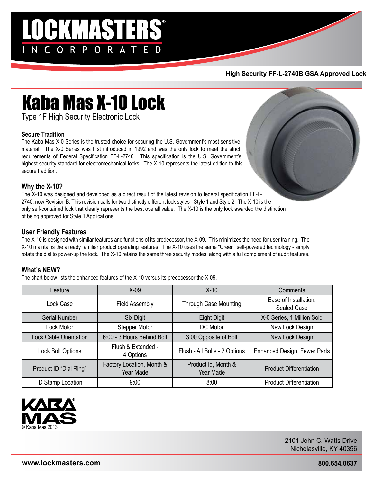## **LOGKMASTERS®** NCORPORATED

#### **High Security FF-L-2740B GSA Approved Lock**

### Kaba Mas X-10 Lock

Type 1F High Security Electronic Lock

#### **Secure Tradition**

The Kaba Mas X-0 Series is the trusted choice for securing the U.S. Government's most sensitive material. The X-0 Series was first introduced in 1992 and was the only lock to meet the strict requirements of Federal Specification FF-L-2740. This specification is the U.S. Government's highest security standard for electromechanical locks. The X-10 represents the latest edition to this secure tradition.



#### **Why the X-10?**

The X-10 was designed and developed as a direct result of the latest revision to federal specification FF-L-2740, now Revision B. This revision calls for two distinctly different lock styles - Style 1 and Style 2. The X-10 is the only self-contained lock that clearly represents the best overall value. The X-10 is the only lock awarded the distinction of being approved for Style 1 Applications.

#### **User Friendly Features**

The X-10 is designed with similar features and functions of its predecessor, the X-09. This minimizes the need for user training. The X-10 maintains the already familiar product operating features. The X-10 uses the same "Green" self-powered technology - simply rotate the dial to power-up the lock. The X-10 retains the same three security modes, along with a full complement of audit features.

#### **What's NEW?**

The chart below lists the enhanced features of the X-10 versus its predecessor the X-09.

| Feature                       | $X-09$                                 | $X-10$                           | Comments                             |  |
|-------------------------------|----------------------------------------|----------------------------------|--------------------------------------|--|
| Lock Case                     | <b>Field Assembly</b>                  | <b>Through Case Mounting</b>     | Ease of Installation,<br>Sealed Case |  |
| <b>Serial Number</b>          | Six Digit                              | <b>Eight Digit</b>               | X-0 Series, 1 Million Sold           |  |
| Lock Motor                    | Stepper Motor                          | DC Motor                         | New Lock Design                      |  |
| <b>Lock Cable Orientation</b> | 6:00 - 3 Hours Behind Bolt             | 3:00 Opposite of Bolt            | New Lock Design                      |  |
| Lock Bolt Options             | Flush & Extended -<br>4 Options        | Flush - All Bolts - 2 Options    | <b>Enhanced Design, Fewer Parts</b>  |  |
| Product ID "Dial Ring"        | Factory Location, Month &<br>Year Made | Product Id, Month &<br>Year Made | <b>Product Differentiation</b>       |  |
| <b>ID Stamp Location</b>      | 9:00                                   | 8:00                             | <b>Product Differentiation</b>       |  |



2101 John C. Watts Drive Nicholasville, KY 40356

**800.654.0637**